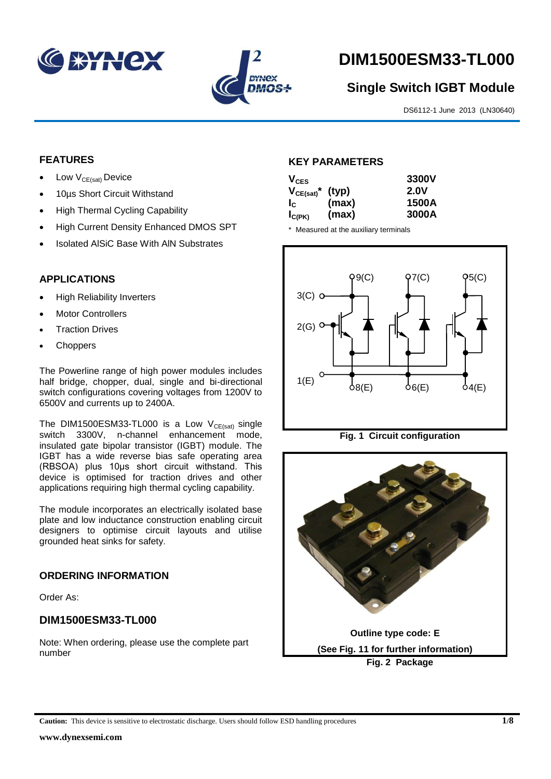



# **DIM1500ESM33-TL000**

# **Single Switch IGBT Module**

DS6112-1 June 2013 (LN30640)

### **FEATURES**

- Low  $V_{CE(sat)}$  Device
- 10µs Short Circuit Withstand
- High Thermal Cycling Capability
- High Current Density Enhanced DMOS SPT
- Isolated AlSiC Base With AlN Substrates

## **APPLICATIONS**

- High Reliability Inverters
- Motor Controllers
- Traction Drives
- **Choppers**

The Powerline range of high power modules includes half bridge, chopper, dual, single and bi-directional switch configurations covering voltages from 1200V to 6500V and currents up to 2400A.

The DIM1500ESM33-TL000 is a Low  $V_{CE(sat)}$  single switch 3300V, n-channel enhancement mode, insulated gate bipolar transistor (IGBT) module. The IGBT has a wide reverse bias safe operating area (RBSOA) plus 10μs short circuit withstand. This device is optimised for traction drives and other applications requiring high thermal cycling capability.

The module incorporates an electrically isolated base plate and low inductance construction enabling circuit designers to optimise circuit layouts and utilise grounded heat sinks for safety.

#### **ORDERING INFORMATION**

Order As:

# **DIM1500ESM33-TL000**

Note: When ordering, please use the complete part number

#### **KEY PARAMETERS**

| $V_{CES}$                        |       | 3300V       |
|----------------------------------|-------|-------------|
| $V_{CE(sat)}$ <sup>*</sup> (typ) |       | <b>2.0V</b> |
| $I_{\rm C}$                      | (max) | 1500A       |
| $I_{C(PK)}$                      | (max) | 3000A       |

\* Measured at the auxiliary terminals



**Fig. 1 Circuit configuration**

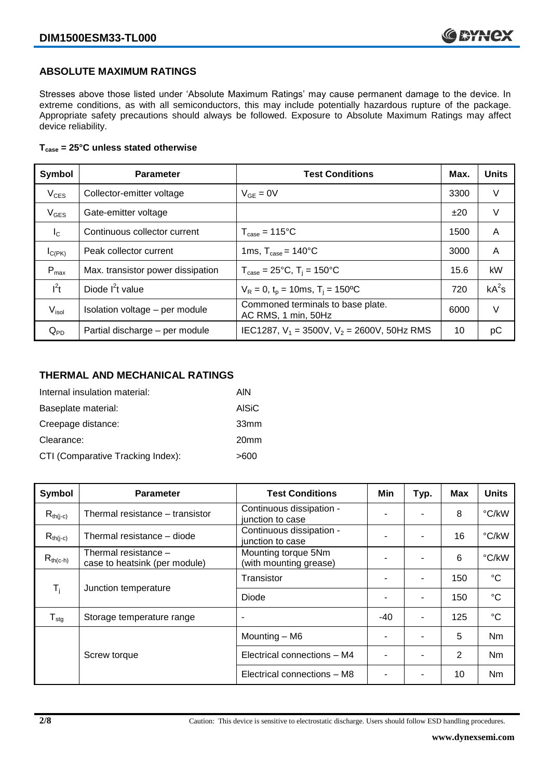### **ABSOLUTE MAXIMUM RATINGS**

Stresses above those listed under 'Absolute Maximum Ratings' may cause permanent damage to the device. In extreme conditions, as with all semiconductors, this may include potentially hazardous rupture of the package. Appropriate safety precautions should always be followed. Exposure to Absolute Maximum Ratings may affect device reliability.

#### **Tcase = 25°C unless stated otherwise**

| Symbol            | <b>Parameter</b>                  | <b>Test Conditions</b>                                   | Max. | <b>Units</b> |
|-------------------|-----------------------------------|----------------------------------------------------------|------|--------------|
| $V_{CES}$         | Collector-emitter voltage         | $V_{GF} = 0V$                                            | 3300 | V            |
| $V_{GES}$         | Gate-emitter voltage              |                                                          | ±20  | V            |
| $I_{\rm C}$       | Continuous collector current      | $T_{\text{case}} = 115^{\circ}C$                         | 1500 | A            |
| $I_{C(PK)}$       | Peak collector current            | 1ms, $T_{\text{case}} = 140^{\circ}$ C                   | 3000 | A            |
| $P_{max}$         | Max. transistor power dissipation | $T_{\text{case}} = 25^{\circ}C$ , $T_i = 150^{\circ}C$   | 15.6 | kW           |
| $I^2t$            | Diode $I^2t$ value                | $V_R = 0$ , $t_p = 10$ ms, $T_i = 150$ <sup>o</sup> C    | 720  | $kA^2s$      |
| V <sub>isol</sub> | Isolation voltage - per module    | Commoned terminals to base plate.<br>AC RMS, 1 min, 50Hz | 6000 | V            |
| $Q_{PD}$          | Partial discharge - per module    | IEC1287, $V_1 = 3500V$ , $V_2 = 2600V$ , 50Hz RMS        | 10   | рC           |

#### **THERMAL AND MECHANICAL RATINGS**

| Internal insulation material:     | AIN              |
|-----------------------------------|------------------|
| Baseplate material:               | <b>AISiC</b>     |
| Creepage distance:                | 33mm             |
| Clearance:                        | 20 <sub>mm</sub> |
| CTI (Comparative Tracking Index): | >600             |

| Symbol                        | <b>Parameter</b>                                      | <b>Test Conditions</b>                        | Min   | Typ. | Max | <b>Units</b>    |
|-------------------------------|-------------------------------------------------------|-----------------------------------------------|-------|------|-----|-----------------|
| $R_{th(j-c)}$                 | Thermal resistance - transistor                       | Continuous dissipation -<br>junction to case  |       |      | 8   | °C/kW           |
| $R_{th(j-c)}$                 | Thermal resistance - diode                            | Continuous dissipation -<br>junction to case  |       |      | 16  | °C/kW           |
| $R_{th(c-h)}$                 | Thermal resistance -<br>case to heatsink (per module) | Mounting torque 5Nm<br>(with mounting grease) | -     |      | 6   | °C/kW           |
| $T_i$<br>Junction temperature |                                                       | Transistor                                    |       |      | 150 | $^{\circ}C$     |
|                               |                                                       | Diode                                         |       |      | 150 | $\rm ^{\circ}C$ |
| ${\mathsf T}_{\text{stg}}$    | Storage temperature range                             | $\overline{\phantom{a}}$                      | $-40$ | -    | 125 | $^{\circ}C$     |
|                               |                                                       | Mounting - M6                                 |       |      | 5   | Nm              |
|                               | Screw torque                                          | Electrical connections - M4                   |       |      | 2   | N <sub>m</sub>  |
|                               |                                                       | Electrical connections - M8                   |       |      | 10  | Nm              |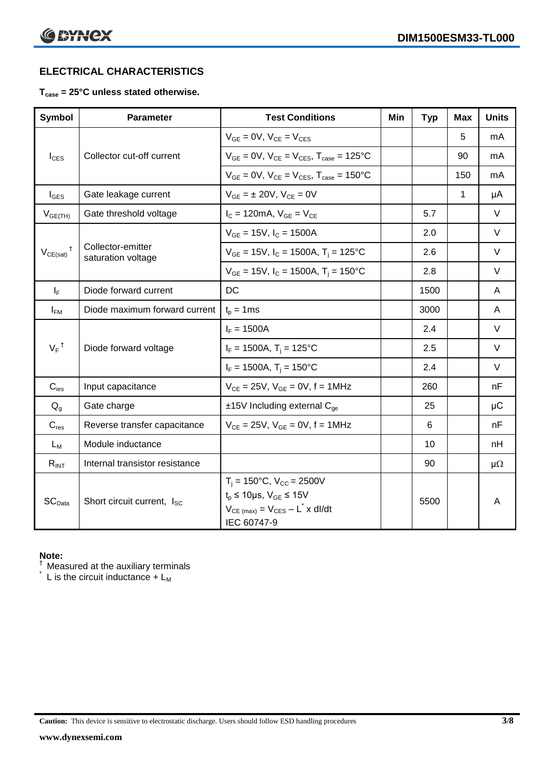# **ELECTRICAL CHARACTERISTICS**

#### **Tcase = 25°C unless stated otherwise.**

| <b>Symbol</b>              | <b>Parameter</b>                        | <b>Test Conditions</b>                                                                                                                                   | Min | <b>Typ</b> | Max | <b>Units</b> |
|----------------------------|-----------------------------------------|----------------------------------------------------------------------------------------------------------------------------------------------------------|-----|------------|-----|--------------|
|                            |                                         | $V_{GE} = 0V$ , $V_{CE} = V_{CES}$                                                                                                                       |     |            | 5   | mA           |
| $I_{\text{CES}}$           | Collector cut-off current               | $V_{GF} = 0V$ , $V_{CE} = V_{CES}$ , $T_{case} = 125$ °C                                                                                                 |     |            | 90  | mA           |
|                            |                                         | $V_{GF} = 0V$ , $V_{CF} = V_{CES}$ , $T_{case} = 150^{\circ}C$                                                                                           |     |            | 150 | mA           |
| $I_{\text{GES}}$           | Gate leakage current                    | $V_{GE} = \pm 20V$ , $V_{CE} = 0V$                                                                                                                       |     |            | 1   | μA           |
| $V_{GE(TH)}$               | Gate threshold voltage                  | $I_{C} = 120 \text{mA}, V_{GE} = V_{CE}$                                                                                                                 |     | 5.7        |     | $\vee$       |
|                            |                                         | $V_{GF}$ = 15V, $I_C$ = 1500A                                                                                                                            |     | 2.0        |     | $\vee$       |
| $V_{CE(sat)}$ <sup>†</sup> | Collector-emitter<br>saturation voltage | $V_{GE}$ = 15V, $I_C$ = 1500A, $T_i$ = 125°C                                                                                                             |     | 2.6        |     | $\vee$       |
|                            |                                         | $V_{GE}$ = 15V, $I_C$ = 1500A, $T_i$ = 150°C                                                                                                             |     | 2.8        |     | $\vee$       |
| $I_F$                      | Diode forward current                   | DC                                                                                                                                                       |     | 1500       |     | A            |
| $I_{FM}$                   | Diode maximum forward current           | $t_p = 1$ ms                                                                                                                                             |     | 3000       |     | A            |
|                            |                                         | $I_F = 1500A$                                                                                                                                            |     | 2.4        |     | $\vee$       |
| $V_F$ <sup>†</sup>         | Diode forward voltage                   | $I_F = 1500A$ , $T_i = 125^{\circ}C$                                                                                                                     |     | 2.5        |     | $\vee$       |
|                            |                                         | $I_F = 1500A$ , $T_i = 150^{\circ}C$                                                                                                                     |     | 2.4        |     | $\vee$       |
| $C_{\text{ies}}$           | Input capacitance                       | $V_{CE} = 25V$ , $V_{GE} = 0V$ , $f = 1MHz$                                                                                                              |     | 260        |     | nF           |
| $Q_q$                      | Gate charge                             | $±15V$ Including external $C_{qe}$                                                                                                                       |     | 25         |     | $\mu$ C      |
| $C_{res}$                  | Reverse transfer capacitance            | $V_{CE} = 25V$ , $V_{GE} = 0V$ , $f = 1MHz$                                                                                                              |     | 6          |     | nF           |
| $L_M$                      | Module inductance                       |                                                                                                                                                          |     | 10         |     | nH           |
| $R_{INT}$                  | Internal transistor resistance          |                                                                                                                                                          |     | 90         |     | $\mu\Omega$  |
| SC <sub>Data</sub>         | Short circuit current, I <sub>SC</sub>  | $T_i = 150^{\circ}C$ , $V_{CC} = 2500V$<br>$t_p \le 10 \mu s$ , $V_{GE} \le 15V$<br>$V_{CE \ (max)} = V_{CES} - L^{\dagger} \times dl/dt$<br>IEC 60747-9 |     | 5500       |     | A            |

#### **Note:**

 $\dagger$  Measured at the auxiliary terminals

 $\check{}$  L is the circuit inductance + L<sub>M</sub>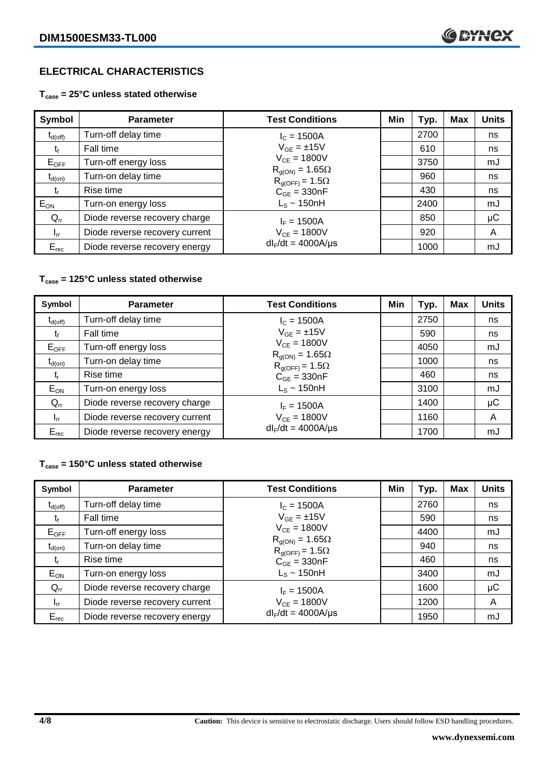# **ELECTRICAL CHARACTERISTICS**

#### **Tcase = 25°C unless stated otherwise**

| Symbol              | <b>Parameter</b>               | <b>Test Conditions</b>                               | Min | Typ. | <b>Max</b> | <b>Units</b> |
|---------------------|--------------------------------|------------------------------------------------------|-----|------|------------|--------------|
| $t_{d(\text{off})}$ | Turn-off delay time            | $I_c = 1500A$                                        |     | 2700 |            | ns           |
| โf                  | Fall time                      | $V_{GF} = \pm 15V$                                   |     | 610  |            | ns           |
| $E_{OFF}$           | Turn-off energy loss           | $V_{CE} = 1800V$                                     |     | 3750 |            | mJ           |
| $t_{d(on)}$         | Turn-on delay time             | $R_{q(ON)} = 1.65\Omega$<br>$R_{g(OFF)} = 1.5\Omega$ |     | 960  |            | ns           |
| t,                  | Rise time                      | $C_{GE} = 330nF$                                     |     | 430  |            | ns           |
| $E_{ON}$            | Turn-on energy loss            | $L_s \sim 150$ nH                                    |     | 2400 |            | mJ           |
| $Q_{rr}$            | Diode reverse recovery charge  | $I_F = 1500A$                                        |     | 850  |            | $\mu$ C      |
| $I_{rr}$            | Diode reverse recovery current | $V_{CE} = 1800V$                                     |     | 920  |            | A            |
| $E_{rec}$           | Diode reverse recovery energy  | $dl_F/dt = 4000A/\mu s$                              |     | 1000 |            | mJ           |

#### **Tcase = 125°C unless stated otherwise**

| Symbol                         | <b>Parameter</b>               | <b>Test Conditions</b>                               | Min | Typ. | <b>Max</b> | <b>Units</b> |
|--------------------------------|--------------------------------|------------------------------------------------------|-----|------|------------|--------------|
| $\mathfrak{r}_{\text{d(off)}}$ | Turn-off delay time            | $I_c = 1500A$                                        |     | 2750 |            | ns           |
| t                              | Fall time                      | $V_{GE} = \pm 15V$                                   |     | 590  |            | ns           |
| $E_{OFF}$                      | Turn-off energy loss           | $V_{CE} = 1800V$                                     |     | 4050 |            | mJ           |
| $t_{d(on)}$                    | Turn-on delay time             | $R_{g(ON)} = 1.65\Omega$<br>$R_{q(OFF)} = 1.5\Omega$ |     | 1000 |            | ns           |
| t,                             | Rise time                      | $C_{GE} = 330nF$                                     |     | 460  |            | ns           |
| $E_{ON}$                       | Turn-on energy loss            | $L_s \sim 150$ nH                                    |     | 3100 |            | mJ           |
| $Q_{rr}$                       | Diode reverse recovery charge  | $I_F = 1500A$                                        |     | 1400 |            | μC           |
| $I_{rr}$                       | Diode reverse recovery current | $V_{CE} = 1800V$                                     |     | 1160 |            | A            |
| $E_{rec}$                      | Diode reverse recovery energy  | $dl_F/dt = 4000A/\mu s$                              |     | 1700 |            | mJ           |

#### **Tcase = 150°C unless stated otherwise**

| Symbol              | <b>Parameter</b>               | <b>Test Conditions</b>                               | Min | Typ. | <b>Max</b> | <b>Units</b> |
|---------------------|--------------------------------|------------------------------------------------------|-----|------|------------|--------------|
| $t_{d(\text{off})}$ | Turn-off delay time            | $I_c = 1500A$                                        |     | 2760 |            | ns           |
| tŕ                  | Fall time                      | $V_{GF} = \pm 15V$                                   |     | 590  |            | ns           |
| $E_{OFF}$           | Turn-off energy loss           | $V_{CF} = 1800V$                                     |     | 4400 |            | mJ           |
| $t_{d(on)}$         | Turn-on delay time             | $R_{g(ON)} = 1.65\Omega$<br>$R_{g(OFF)} = 1.5\Omega$ |     | 940  |            | ns           |
| $t_{r}$             | Rise time                      | $C_{GE}$ = 330nF                                     |     | 460  |            | ns           |
| $E_{ON}$            | Turn-on energy loss            | $L_s \sim 150$ nH                                    |     | 3400 |            | mJ           |
| $Q_{rr}$            | Diode reverse recovery charge  | $I_F = 1500A$                                        |     | 1600 |            | $\mu$ C      |
| $I_{rr}$            | Diode reverse recovery current | $V_{CE} = 1800V$                                     |     | 1200 |            | A            |
| $E_{rec}$           | Diode reverse recovery energy  | $dl_F/dt = 4000A/\mu s$                              |     | 1950 |            | mJ           |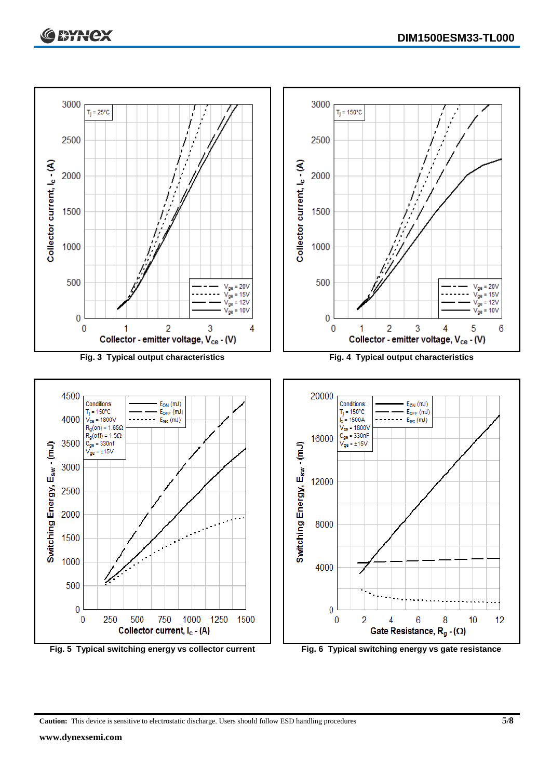

**Caution:** This device is sensitive to electrostatic discharge. Users should follow ESD handling procedures **5/8**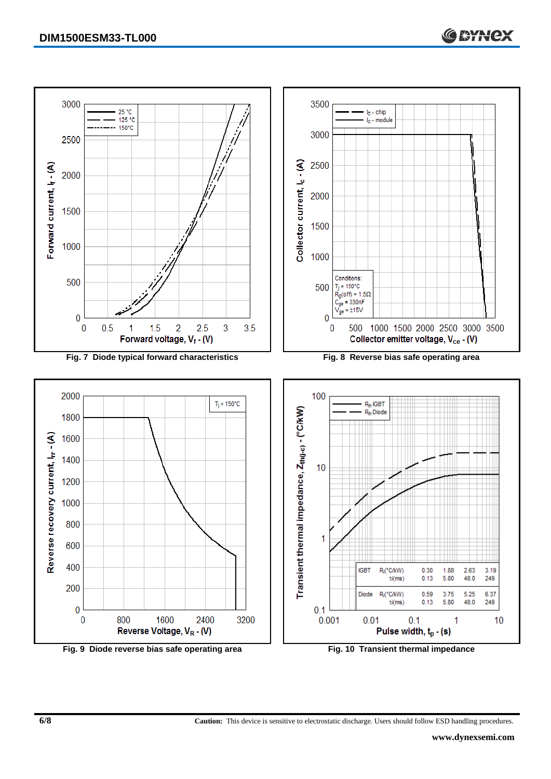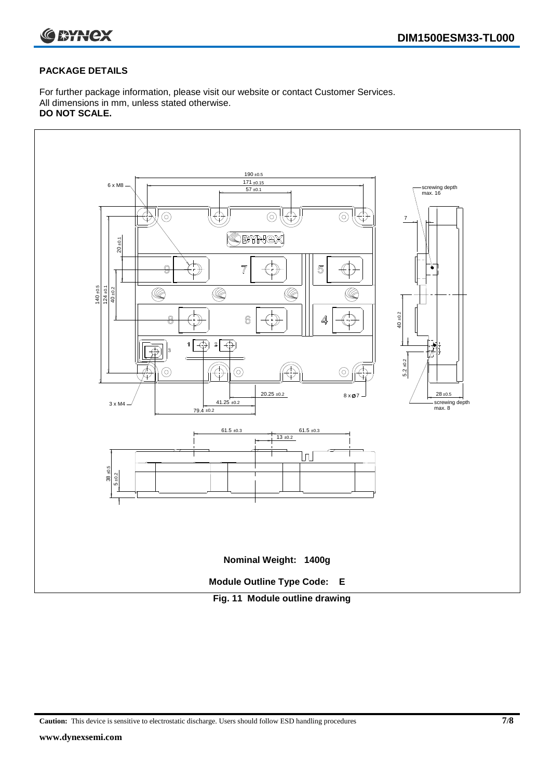

#### **PACKAGE DETAILS**

For further package information, please visit our website or contact Customer Services. All dimensions in mm, unless stated otherwise. **DO NOT SCALE.**



**Caution:** This device is sensitive to electrostatic discharge. Users should follow ESD handling procedures **7/8**